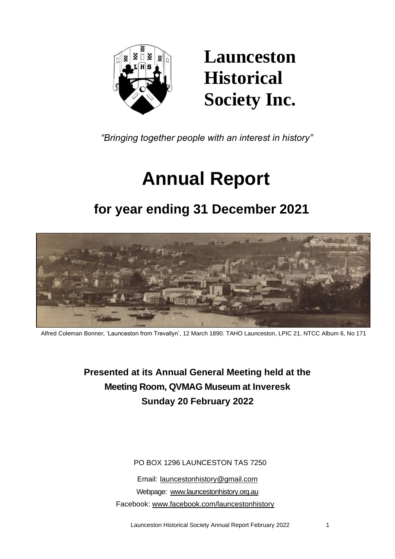

## **Launceston Historical Society Inc.**

*"Bringing together people with an interest in history"*

# **Annual Report**

### **for year ending 31 December 2021**



Alfred Coleman Bonner, 'Launceston from Trevallyn', 12 March 1890. TAHO Launceston, LPIC 21, NTCC Album 6, No 171

**Presented at its Annual General Meeting held at the Meeting Room, QVMAG Museum at Inveresk Sunday 20 February 2022**

PO BOX 1296 LAUNCESTON TAS 7250

Email: [launcestonhistory@gmail.com](mailto:launcestonhistory@gmail.com) Webpage: [www.launcestonhistory.org.au](http://www.launcestonhistory.org.au/) Facebook: [www.facebook.com/launcestonhistory](http://www.facebook.com/launcestonhistory)

Launceston Historical Society Annual Report February 2022 1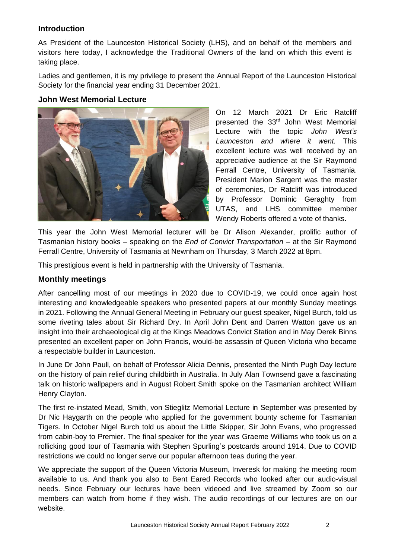#### **Introduction**

As President of the Launceston Historical Society (LHS), and on behalf of the members and visitors here today, I acknowledge the Traditional Owners of the land on which this event is taking place.

Ladies and gentlemen, it is my privilege to present the Annual Report of the Launceston Historical Society for the financial year ending 31 December 2021.

#### **John West Memorial Lecture**



On 12 March 2021 Dr Eric Ratcliff presented the 33 rd John West Memorial Lecture with the topic *John West's Launceston and where it went.* This excellent lecture was well received by an appreciative audience at the Sir Raymond Ferrall Centre, University of Tasmania. President Marion Sargent was the master of ceremonies, Dr Ratcliff was introduced by Professor Dominic Geraghty from UTAS, and LHS committee member Wendy Roberts offered a vote of thanks.

This year the John West Memorial lecturer will be Dr Alison Alexander, prolific author of Tasmanian history books – speaking on the *End of Convict Transportation* – at the Sir Raymond Ferrall Centre, University of Tasmania at Newnham on Thursday, 3 March 2022 at 8pm.

This prestigious event is held in partnership with the University of Tasmania.

#### **Monthly meetings**

After cancelling most of our meetings in 2020 due to COVID-19, we could once again host interesting and knowledgeable speakers who presented papers at our monthly Sunday meetings in 2021. Following the Annual General Meeting in February our guest speaker, Nigel Burch, told us some riveting tales about Sir Richard Dry. In April John Dent and Darren Watton gave us an insight into their archaeological dig at the Kings Meadows Convict Station and in May Derek Binns presented an excellent paper on John Francis, would-be assassin of Queen Victoria who became a respectable builder in Launceston.

In June Dr John Paull, on behalf of Professor Alicia Dennis, presented the Ninth Pugh Day lecture on the history of pain relief during childbirth in Australia. In July Alan Townsend gave a fascinating talk on historic wallpapers and in August Robert Smith spoke on the Tasmanian architect William Henry Clayton.

The first re-instated Mead, Smith, von Stieglitz Memorial Lecture in September was presented by Dr Nic Haygarth on the people who applied for the government bounty scheme for Tasmanian Tigers. In October Nigel Burch told us about the Little Skipper, Sir John Evans, who progressed from cabin-boy to Premier. The final speaker for the year was Graeme Williams who took us on a rollicking good tour of Tasmania with Stephen Spurling's postcards around 1914. Due to COVID restrictions we could no longer serve our popular afternoon teas during the year.

We appreciate the support of the Queen Victoria Museum, Inveresk for making the meeting room available to us. And thank you also to Bent Eared Records who looked after our audio-visual needs. Since February our lectures have been videoed and live streamed by Zoom so our members can watch from home if they wish. The audio recordings of our lectures are on our website.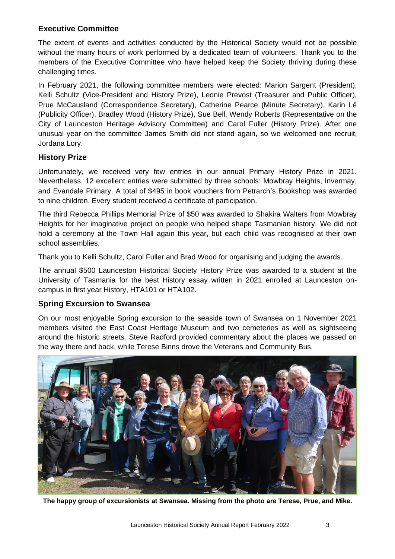#### **Executive Committee**

The extent of events and activities conducted by the Historical Society would not be possible without the many hours of work performed by a dedicated team of volunteers. Thank you to the members of the Executive Committee who have helped keep the Society thriving during these challenging times.

In February 2021, the following committee members were elected: Marion Sargent (President), Kelli Schultz (Vice-President and History Prize), Leonie Prevost (Treasurer and Public Officer), Prue McCausland (Correspondence Secretary), Catherine Pearce (Minute Secretary), Karin Lê (Publicity Officer), Bradley Wood (History Prize), Sue Bell, Wendy Roberts (Representative on the City of Launceston Heritage Advisory Committee) and Carol Fuller (History Prize). After one unusual year on the committee James Smith did not stand again, so we welcomed one recruit, Jordana Lory.

#### **History Prize**

Unfortunately, we received very few entries in our annual Primary History Prize in 2021. Nevertheless, 12 excellent entries were submitted by three schools: Mowbray Heights, Invermay, and Evandale Primary. A total of \$495 in book vouchers from Petrarch's Bookshop was awarded to nine children. Every student received a certificate of participation.

The third Rebecca Phillips Memorial Prize of \$50 was awarded to Shakira Walters from Mowbray Heights for her imaginative project on people who helped shape Tasmanian history. We did not hold a ceremony at the Town Hall again this year, but each child was recognised at their own school assemblies.

Thank you to Kelli Schultz, Carol Fuller and Brad Wood for organising and judging the awards.

The annual \$500 Launceston Historical Society History Prize was awarded to a student at the University of Tasmania for the best History essay written in 2021 enrolled at Launceston oncampus in first year History, HTA101 or HTA102.

#### **Spring Excursion to Swansea**

On our most enjoyable Spring excursion to the seaside town of Swansea on 1 November 2021 members visited the East Coast Heritage Museum and two cemeteries as well as sightseeing around the historic streets. Steve Radford provided commentary about the places we passed on the way there and back, while Terese Binns drove the Veterans and Community Bus.



**The happy group of excursionists at Swansea. Missing from the photo are Terese, Prue, and Mike.**